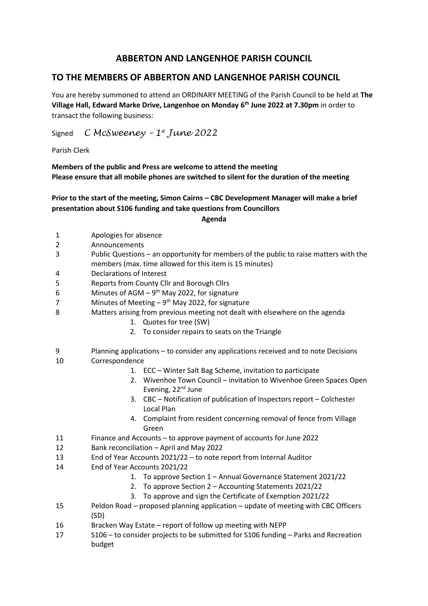## **ABBERTON AND LANGENHOE PARISH COUNCIL**

## **TO THE MEMBERS OF ABBERTON AND LANGENHOE PARISH COUNCIL**

You are hereby summoned to attend an ORDINARY MEETING of the Parish Council to be held at **The Village Hall, Edward Marke Drive, Langenhoe on Monday 6 th June 2022 at 7.30pm** in order to transact the following business:

Signed *C McSweeney – 1 st June 2022*

Parish Clerk

**Members of the public and Press are welcome to attend the meeting Please ensure that all mobile phones are switched to silent for the duration of the meeting**

**Prior to the start of the meeting, Simon Cairns – CBC Development Manager will make a brief presentation about S106 funding and take questions from Councillors**

## **Agenda**

- 1 Apologies for absence
- 2 Announcements
- 3 Public Questions an opportunity for members of the public to raise matters with the members (max. time allowed for this item is 15 minutes)
- 4 Declarations of Interest
- 5 Reports from County Cllr and Borough Cllrs
- 6 Minutes of AGM  $-9$ <sup>th</sup> May 2022, for signature
- 7 Minutes of Meeting  $-9<sup>th</sup>$  May 2022, for signature
- 8 Matters arising from previous meeting not dealt with elsewhere on the agenda
	- 1. Quotes for tree (SW)
	- 2. To consider repairs to seats on the Triangle
- 9 Planning applications to consider any applications received and to note Decisions 10 Correspondence
	- 1. ECC Winter Salt Bag Scheme, invitation to participate
	- 2. Wivenhoe Town Council invitation to Wivenhoe Green Spaces Open Evening, 22<sup>nd</sup> June
	- 3. CBC Notification of publication of Inspectors report Colchester Local Plan
	- 4. Complaint from resident concerning removal of fence from Village Green
- 11 Finance and Accounts to approve payment of accounts for June 2022
- 12 Bank reconciliation April and May 2022
- 13 End of Year Accounts 2021/22 to note report from Internal Auditor
- 14 End of Year Accounts 2021/22
	- 1. To approve Section 1 Annual Governance Statement 2021/22
		- 2. To approve Section 2 Accounting Statements 2021/22
		- 3. To approve and sign the Certificate of Exemption 2021/22
- 15 Peldon Road proposed planning application update of meeting with CBC Officers (SD)
- 16 Bracken Way Estate report of follow up meeting with NEPP
- 17 S106 to consider projects to be submitted for S106 funding Parks and Recreation budget